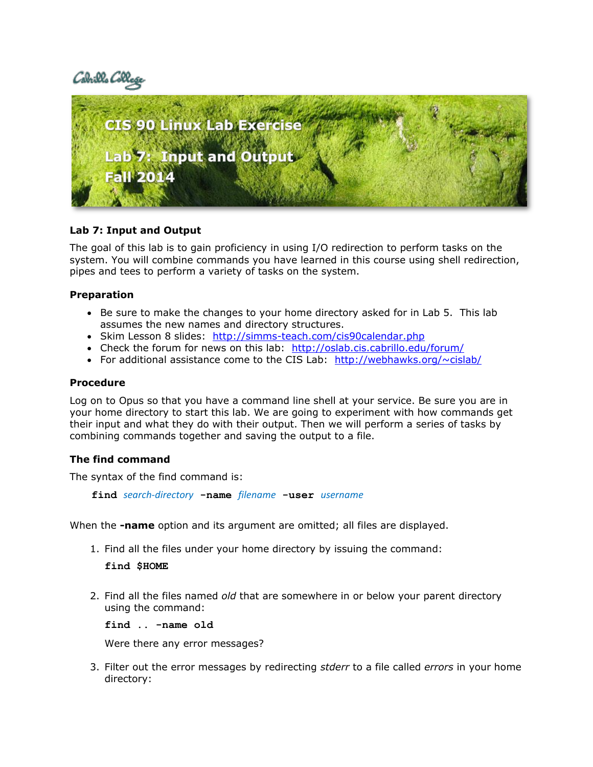Cabrills Coll



# **Lab 7: Input and Output**

The goal of this lab is to gain proficiency in using I/O redirection to perform tasks on the system. You will combine commands you have learned in this course using shell redirection, pipes and tees to perform a variety of tasks on the system.

# **Preparation**

- Be sure to make the changes to your home directory asked for in Lab 5. This lab assumes the new names and directory structures.
- Skim Lesson 8 slides: http://simms-teach.com/cis90calendar.php
- Check the forum for news on this lab: <http://oslab.cis.cabrillo.edu/forum/>
- For additional assistance come to the CIS Lab: http://webhawks.org/ $\sim$ cislab/

# **Procedure**

Log on to Opus so that you have a command line shell at your service. Be sure you are in your home directory to start this lab. We are going to experiment with how commands get their input and what they do with their output. Then we will perform a series of tasks by combining commands together and saving the output to a file.

### **The find command**

The syntax of the find command is:

**find** *search-directory* **-name** *filename* **-user** *username*

When the **-name** option and its argument are omitted; all files are displayed.

1. Find all the files under your home directory by issuing the command:

### **find \$HOME**

2. Find all the files named *old* that are somewhere in or below your parent directory using the command:

**find .. -name old**

Were there any error messages?

3. Filter out the error messages by redirecting *stderr* to a file called *errors* in your home directory: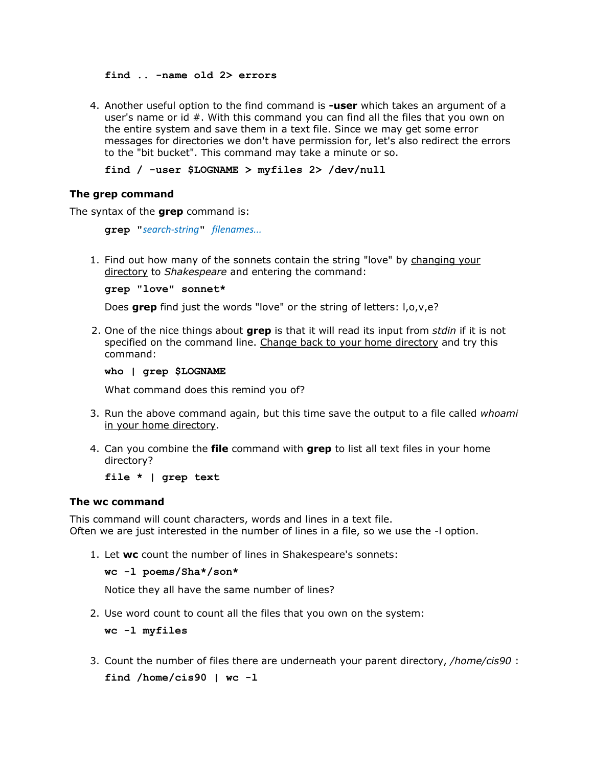**find .. -name old 2> errors**

4. Another useful option to the find command is **-user** which takes an argument of a user's name or id #. With this command you can find all the files that you own on the entire system and save them in a text file. Since we may get some error messages for directories we don't have permission for, let's also redirect the errors to the "bit bucket". This command may take a minute or so.

**find / -user \$LOGNAME > myfiles 2> /dev/null**

#### **The grep command**

The syntax of the **grep** command is:

**grep "***search-string***"** *filenames...*

1. Find out how many of the sonnets contain the string "love" by changing your directory to *Shakespeare* and entering the command:

**grep "love" sonnet\***

Does **grep** find just the words "love" or the string of letters: l,o,v,e?

2. One of the nice things about **grep** is that it will read its input from *stdin* if it is not specified on the command line. Change back to your home directory and try this command:

#### **who | grep \$LOGNAME**

What command does this remind you of?

- 3. Run the above command again, but this time save the output to a file called *whoami*  in your home directory.
- 4. Can you combine the **file** command with **grep** to list all text files in your home directory?

**file \* | grep text**

#### **The wc command**

This command will count characters, words and lines in a text file. Often we are just interested in the number of lines in a file, so we use the -l option.

1. Let **wc** count the number of lines in Shakespeare's sonnets:

```
wc -l poems/Sha*/son*
```
Notice they all have the same number of lines?

2. Use word count to count all the files that you own on the system:

**wc -l myfiles**

3. Count the number of files there are underneath your parent directory, */home/cis90* : **find /home/cis90 | wc -l**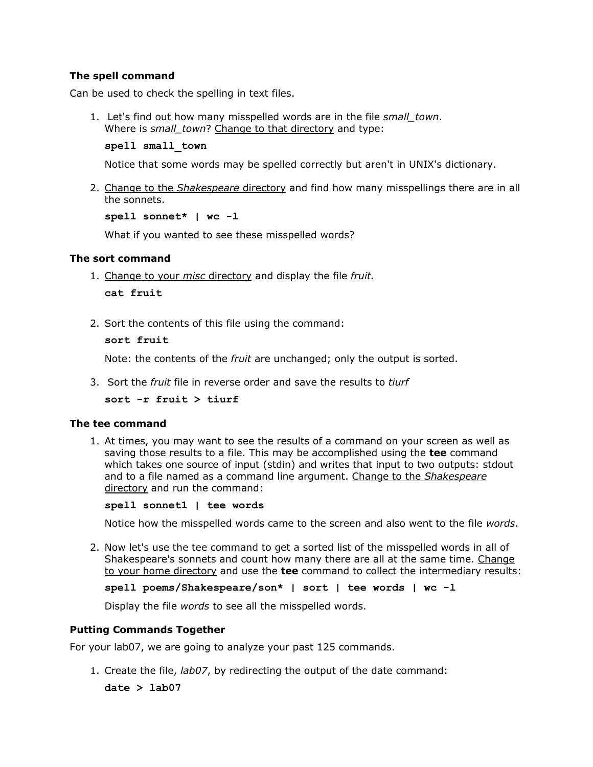# **The spell command**

Can be used to check the spelling in text files.

1. Let's find out how many misspelled words are in the file *small\_town*. Where is *small\_town*? Change to that directory and type:

```
spell small_town
```
Notice that some words may be spelled correctly but aren't in UNIX's dictionary.

2. Change to the *Shakespeare* directory and find how many misspellings there are in all the sonnets.

**spell sonnet\* | wc -l**

What if you wanted to see these misspelled words?

### **The sort command**

- 1. Change to your *misc* directory and display the file *fruit.* **cat fruit**
- 2. Sort the contents of this file using the command:

```
sort fruit
```
Note: the contents of the *fruit* are unchanged; only the output is sorted.

3. Sort the *fruit* file in reverse order and save the results to *tiurf*

**sort -r fruit > tiurf** 

#### **The tee command**

1. At times, you may want to see the results of a command on your screen as well as saving those results to a file. This may be accomplished using the **tee** command which takes one source of input (stdin) and writes that input to two outputs: stdout and to a file named as a command line argument. Change to the *Shakespeare* directory and run the command:

**spell sonnet1 | tee words**

Notice how the misspelled words came to the screen and also went to the file *words*.

2. Now let's use the tee command to get a sorted list of the misspelled words in all of Shakespeare's sonnets and count how many there are all at the same time. Change to your home directory and use the **tee** command to collect the intermediary results:

```
spell poems/Shakespeare/son* | sort | tee words | wc -l
```
Display the file *words* to see all the misspelled words.

### **Putting Commands Together**

For your lab07, we are going to analyze your past 125 commands.

1. Create the file, *lab07*, by redirecting the output of the date command: **date > lab07**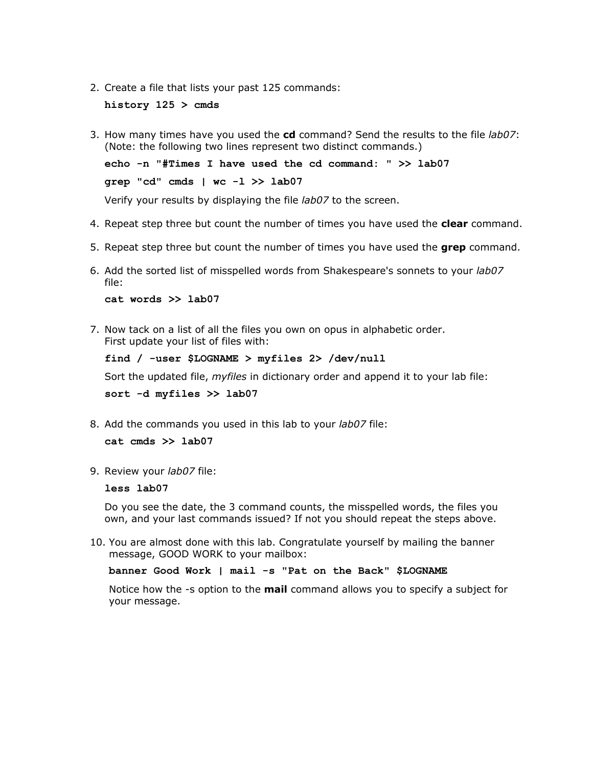2. Create a file that lists your past 125 commands:

**history 125 > cmds**

3. How many times have you used the **cd** command? Send the results to the file *lab07*: (Note: the following two lines represent two distinct commands.)

**echo -n "#Times I have used the cd command: " >> lab07 grep "cd" cmds | wc -l >> lab07**

Verify your results by displaying the file *lab07* to the screen.

- 4. Repeat step three but count the number of times you have used the **clear** command.
- 5. Repeat step three but count the number of times you have used the **grep** command.
- 6. Add the sorted list of misspelled words from Shakespeare's sonnets to your *lab07* file:

**cat words >> lab07**

7. Now tack on a list of all the files you own on opus in alphabetic order. First update your list of files with:

**find / -user \$LOGNAME > myfiles 2> /dev/null**

Sort the updated file, *myfiles* in dictionary order and append it to your lab file:

**sort -d myfiles >> lab07**

8. Add the commands you used in this lab to your *lab07* file:

**cat cmds >> lab07**

9. Review your *lab07* file:

**less lab07**

Do you see the date, the 3 command counts, the misspelled words, the files you own, and your last commands issued? If not you should repeat the steps above.

10. You are almost done with this lab. Congratulate yourself by mailing the banner message, GOOD WORK to your mailbox:

**banner Good Work | mail -s "Pat on the Back" \$LOGNAME**

Notice how the -s option to the **mail** command allows you to specify a subject for your message.